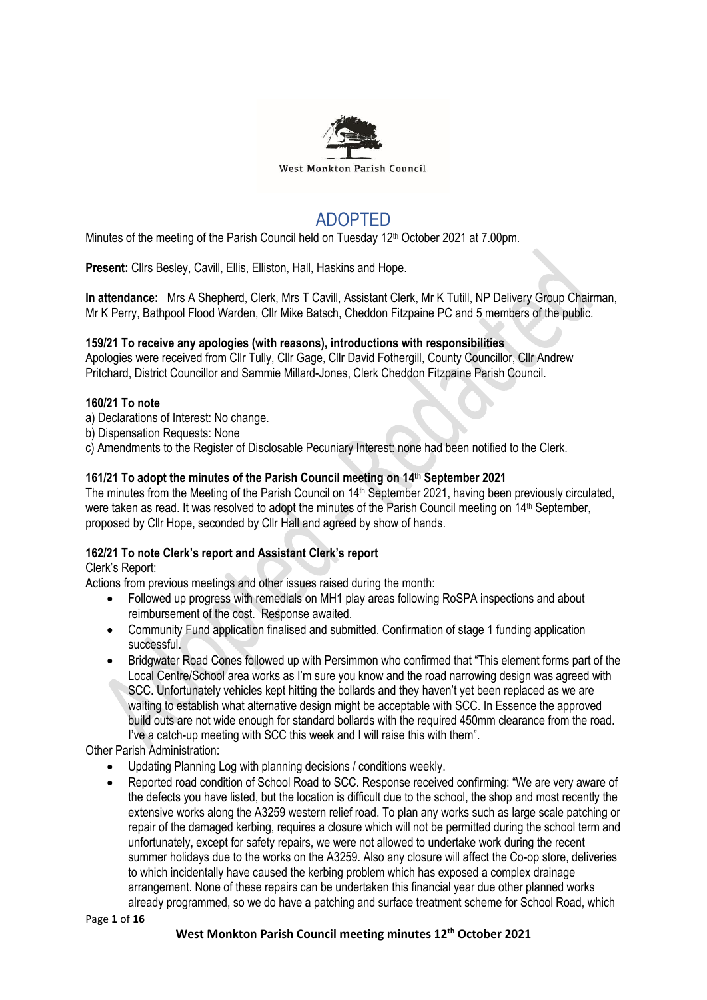

# ADOPTED

Minutes of the meeting of the Parish Council held on Tuesday 12<sup>th</sup> October 2021 at 7.00pm.

**Present:** Cllrs Besley, Cavill, Ellis, Elliston, Hall, Haskins and Hope.

**In attendance:** Mrs A Shepherd, Clerk, Mrs T Cavill, Assistant Clerk, Mr K Tutill, NP Delivery Group Chairman, Mr K Perry, Bathpool Flood Warden, Cllr Mike Batsch, Cheddon Fitzpaine PC and 5 members of the public.

## **159/21 To receive any apologies (with reasons), introductions with responsibilities**

Apologies were received from Cllr Tully, Cllr Gage, Cllr David Fothergill, County Councillor, Cllr Andrew Pritchard, District Councillor and Sammie Millard-Jones, Clerk Cheddon Fitzpaine Parish Council.

#### **160/21 To note**

- a) Declarations of Interest: No change.
- b) Dispensation Requests: None
- c) Amendments to the Register of Disclosable Pecuniary Interest: none had been notified to the Clerk.

#### **161/21 To adopt the minutes of the Parish Council meeting on 14 th September 2021**

The minutes from the Meeting of the Parish Council on 14<sup>th</sup> September 2021, having been previously circulated, were taken as read. It was resolved to adopt the minutes of the Parish Council meeting on 14<sup>th</sup> September, proposed by Cllr Hope, seconded by Cllr Hall and agreed by show of hands.

## **162/21 To note Clerk's report and Assistant Clerk's report**

Clerk's Report:

Actions from previous meetings and other issues raised during the month:

- Followed up progress with remedials on MH1 play areas following RoSPA inspections and about reimbursement of the cost. Response awaited.
- Community Fund application finalised and submitted. Confirmation of stage 1 funding application successful.
- Bridgwater Road Cones followed up with Persimmon who confirmed that "This element forms part of the Local Centre/School area works as I'm sure you know and the road narrowing design was agreed with SCC. Unfortunately vehicles kept hitting the bollards and they haven't yet been replaced as we are waiting to establish what alternative design might be acceptable with SCC. In Essence the approved build outs are not wide enough for standard bollards with the required 450mm clearance from the road. I've a catch-up meeting with SCC this week and I will raise this with them".

Other Parish Administration:

- Updating Planning Log with planning decisions / conditions weekly.
- Reported road condition of School Road to SCC. Response received confirming: "We are very aware of the defects you have listed, but the location is difficult due to the school, the shop and most recently the extensive works along the A3259 western relief road. To plan any works such as large scale patching or repair of the damaged kerbing, requires a closure which will not be permitted during the school term and unfortunately, except for safety repairs, we were not allowed to undertake work during the recent summer holidays due to the works on the A3259. Also any closure will affect the Co-op store, deliveries to which incidentally have caused the kerbing problem which has exposed a complex drainage arrangement. None of these repairs can be undertaken this financial year due other planned works already programmed, so we do have a patching and surface treatment scheme for School Road, which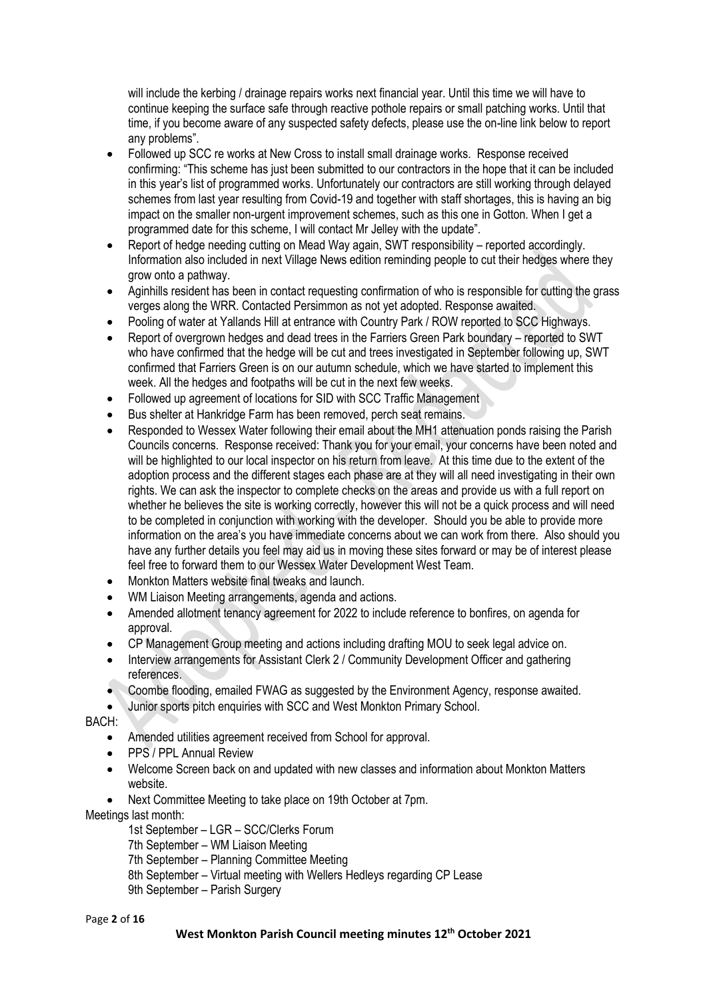will include the kerbing / drainage repairs works next financial year. Until this time we will have to continue keeping the surface safe through reactive pothole repairs or small patching works. Until that time, if you become aware of any suspected safety defects, please use the on-line link below to report any problems".

- Followed up SCC re works at New Cross to install small drainage works. Response received confirming: "This scheme has just been submitted to our contractors in the hope that it can be included in this year's list of programmed works. Unfortunately our contractors are still working through delayed schemes from last year resulting from Covid-19 and together with staff shortages, this is having an big impact on the smaller non-urgent improvement schemes, such as this one in Gotton. When I get a programmed date for this scheme, I will contact Mr Jelley with the update".
- Report of hedge needing cutting on Mead Way again, SWT responsibility reported accordingly. Information also included in next Village News edition reminding people to cut their hedges where they grow onto a pathway.
- Aginhills resident has been in contact requesting confirmation of who is responsible for cutting the grass verges along the WRR. Contacted Persimmon as not yet adopted. Response awaited.
- Pooling of water at Yallands Hill at entrance with Country Park / ROW reported to SCC Highways.
- Report of overgrown hedges and dead trees in the Farriers Green Park boundary reported to SWT who have confirmed that the hedge will be cut and trees investigated in September following up, SWT confirmed that Farriers Green is on our autumn schedule, which we have started to implement this week. All the hedges and footpaths will be cut in the next few weeks.
- Followed up agreement of locations for SID with SCC Traffic Management
- Bus shelter at Hankridge Farm has been removed, perch seat remains.
- Responded to Wessex Water following their email about the MH1 attenuation ponds raising the Parish Councils concerns. Response received: Thank you for your email, your concerns have been noted and will be highlighted to our local inspector on his return from leave. At this time due to the extent of the adoption process and the different stages each phase are at they will all need investigating in their own rights. We can ask the inspector to complete checks on the areas and provide us with a full report on whether he believes the site is working correctly, however this will not be a quick process and will need to be completed in conjunction with working with the developer. Should you be able to provide more information on the area's you have immediate concerns about we can work from there. Also should you have any further details you feel may aid us in moving these sites forward or may be of interest please feel free to forward them to our Wessex Water Development West Team.
- Monkton Matters website final tweaks and launch.
- WM Liaison Meeting arrangements, agenda and actions.
- Amended allotment tenancy agreement for 2022 to include reference to bonfires, on agenda for approval.
- CP Management Group meeting and actions including drafting MOU to seek legal advice on.
- Interview arrangements for Assistant Clerk 2 / Community Development Officer and gathering references.
- Coombe flooding, emailed FWAG as suggested by the Environment Agency, response awaited.
- Junior sports pitch enquiries with SCC and West Monkton Primary School.

BACH:

- Amended utilities agreement received from School for approval.
- PPS / PPL Annual Review
- Welcome Screen back on and updated with new classes and information about Monkton Matters website.
- Next Committee Meeting to take place on 19th October at 7pm.

Meetings last month:

1st September – LGR – SCC/Clerks Forum

7th September – WM Liaison Meeting

7th September – Planning Committee Meeting

- 8th September Virtual meeting with Wellers Hedleys regarding CP Lease
- 9th September Parish Surgery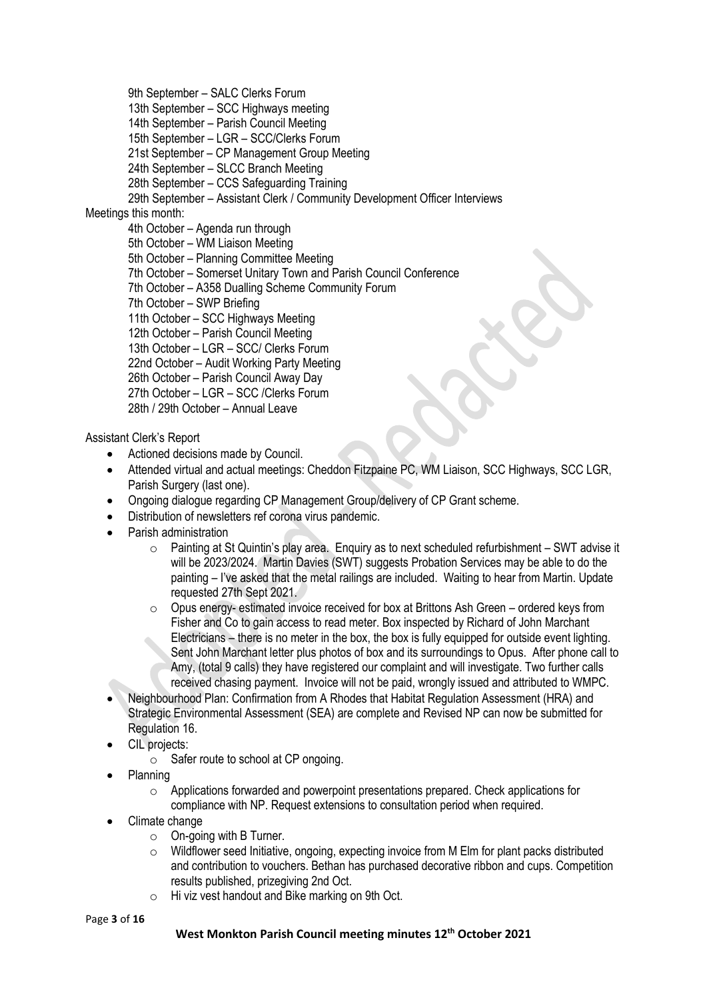9th September – SALC Clerks Forum

13th September – SCC Highways meeting

14th September – Parish Council Meeting

15th September – LGR – SCC/Clerks Forum

21st September – CP Management Group Meeting

24th September – SLCC Branch Meeting

28th September – CCS Safeguarding Training

29th September – Assistant Clerk / Community Development Officer Interviews

## Meetings this month:

4th October – Agenda run through 5th October – WM Liaison Meeting 5th October – Planning Committee Meeting 7th October – Somerset Unitary Town and Parish Council Conference 7th October – A358 Dualling Scheme Community Forum 7th October – SWP Briefing 11th October – SCC Highways Meeting 12th October – Parish Council Meeting 13th October – LGR – SCC/ Clerks Forum 22nd October – Audit Working Party Meeting 26th October – Parish Council Away Day 27th October – LGR – SCC /Clerks Forum 28th / 29th October – Annual Leave

Assistant Clerk's Report

- Actioned decisions made by Council.
- Attended virtual and actual meetings: Cheddon Fitzpaine PC, WM Liaison, SCC Highways, SCC LGR, Parish Surgery (last one).
- Ongoing dialogue regarding CP Management Group/delivery of CP Grant scheme.
- Distribution of newsletters ref corona virus pandemic.
- Parish administration
	- o Painting at St Quintin's play area. Enquiry as to next scheduled refurbishment SWT advise it will be 2023/2024. Martin Davies (SWT) suggests Probation Services may be able to do the painting – I've asked that the metal railings are included. Waiting to hear from Martin. Update requested 27th Sept 2021.
	- $\circ$  Opus energy- estimated invoice received for box at Brittons Ash Green ordered keys from Fisher and Co to gain access to read meter. Box inspected by Richard of John Marchant Electricians – there is no meter in the box, the box is fully equipped for outside event lighting. Sent John Marchant letter plus photos of box and its surroundings to Opus. After phone call to Amy, (total 9 calls) they have registered our complaint and will investigate. Two further calls received chasing payment. Invoice will not be paid, wrongly issued and attributed to WMPC.
- Neighbourhood Plan: Confirmation from A Rhodes that Habitat Regulation Assessment (HRA) and Strategic Environmental Assessment (SEA) are complete and Revised NP can now be submitted for Regulation 16.
- CIL projects:
	- o Safer route to school at CP ongoing.
- Planning
	- $\circ$  Applications forwarded and powerpoint presentations prepared. Check applications for compliance with NP. Request extensions to consultation period when required.
- Climate change
	- $\circ$  On-going with B Turner.
	- $\circ$  Wildflower seed Initiative, ongoing, expecting invoice from M Elm for plant packs distributed and contribution to vouchers. Bethan has purchased decorative ribbon and cups. Competition results published, prizegiving 2nd Oct.
	- o Hi viz vest handout and Bike marking on 9th Oct.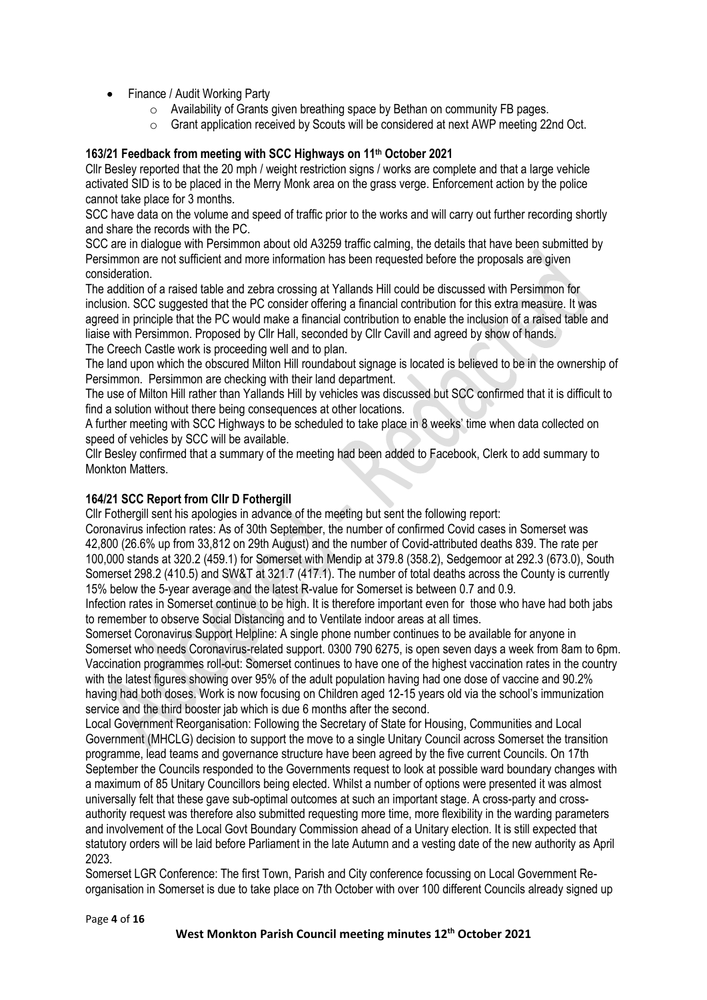- Finance / Audit Working Party
	- o Availability of Grants given breathing space by Bethan on community FB pages.
	- o Grant application received by Scouts will be considered at next AWP meeting 22nd Oct.

## **163/21 Feedback from meeting with SCC Highways on 11th October 2021**

Cllr Besley reported that the 20 mph / weight restriction signs / works are complete and that a large vehicle activated SID is to be placed in the Merry Monk area on the grass verge. Enforcement action by the police cannot take place for 3 months.

SCC have data on the volume and speed of traffic prior to the works and will carry out further recording shortly and share the records with the PC.

SCC are in dialogue with Persimmon about old A3259 traffic calming, the details that have been submitted by Persimmon are not sufficient and more information has been requested before the proposals are given consideration.

The addition of a raised table and zebra crossing at Yallands Hill could be discussed with Persimmon for inclusion. SCC suggested that the PC consider offering a financial contribution for this extra measure. It was agreed in principle that the PC would make a financial contribution to enable the inclusion of a raised table and liaise with Persimmon. Proposed by Cllr Hall, seconded by Cllr Cavill and agreed by show of hands. The Creech Castle work is proceeding well and to plan.

The land upon which the obscured Milton Hill roundabout signage is located is believed to be in the ownership of Persimmon. Persimmon are checking with their land department.

The use of Milton Hill rather than Yallands Hill by vehicles was discussed but SCC confirmed that it is difficult to find a solution without there being consequences at other locations.

A further meeting with SCC Highways to be scheduled to take place in 8 weeks' time when data collected on speed of vehicles by SCC will be available.

Cllr Besley confirmed that a summary of the meeting had been added to Facebook, Clerk to add summary to Monkton Matters.

#### **164/21 SCC Report from Cllr D Fothergill**

Cllr Fothergill sent his apologies in advance of the meeting but sent the following report:

Coronavirus infection rates: As of 30th September, the number of confirmed Covid cases in Somerset was 42,800 (26.6% up from 33,812 on 29th August) and the number of Covid-attributed deaths 839. The rate per 100,000 stands at 320.2 (459.1) for Somerset with Mendip at 379.8 (358.2), Sedgemoor at 292.3 (673.0), South Somerset 298.2 (410.5) and SW&T at 321.7 (417.1). The number of total deaths across the County is currently 15% below the 5-year average and the latest R-value for Somerset is between 0.7 and 0.9.

Infection rates in Somerset continue to be high. It is therefore important even for those who have had both jabs to remember to observe Social Distancing and to Ventilate indoor areas at all times.

Somerset Coronavirus Support Helpline: A single phone number continues to be available for anyone in Somerset who needs Coronavirus-related support. 0300 790 6275, is open seven days a week from 8am to 6pm. Vaccination programmes roll-out: Somerset continues to have one of the highest vaccination rates in the country with the latest figures showing over 95% of the adult population having had one dose of vaccine and 90.2% having had both doses. Work is now focusing on Children aged 12-15 years old via the school's immunization service and the third booster jab which is due 6 months after the second.

Local Government Reorganisation: Following the Secretary of State for Housing, Communities and Local Government (MHCLG) decision to support the move to a single Unitary Council across Somerset the transition programme, lead teams and governance structure have been agreed by the five current Councils. On 17th September the Councils responded to the Governments request to look at possible ward boundary changes with a maximum of 85 Unitary Councillors being elected. Whilst a number of options were presented it was almost universally felt that these gave sub-optimal outcomes at such an important stage. A cross-party and crossauthority request was therefore also submitted requesting more time, more flexibility in the warding parameters and involvement of the Local Govt Boundary Commission ahead of a Unitary election. It is still expected that statutory orders will be laid before Parliament in the late Autumn and a vesting date of the new authority as April 2023.

Somerset LGR Conference: The first Town, Parish and City conference focussing on Local Government Reorganisation in Somerset is due to take place on 7th October with over 100 different Councils already signed up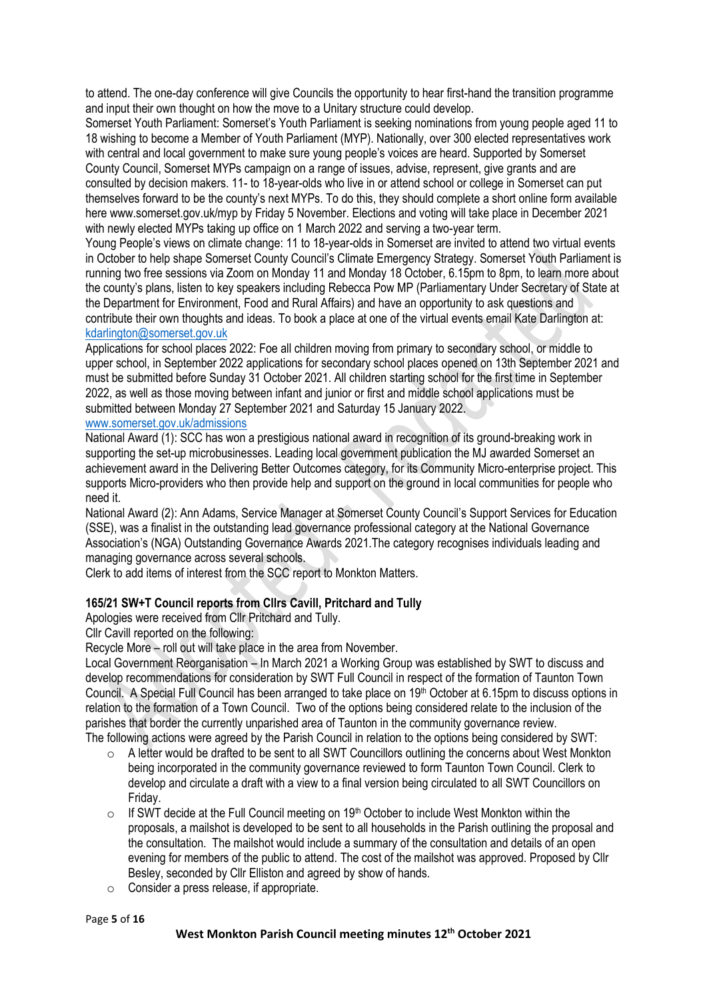to attend. The one-day conference will give Councils the opportunity to hear first-hand the transition programme and input their own thought on how the move to a Unitary structure could develop.

Somerset Youth Parliament: Somerset's Youth Parliament is seeking nominations from young people aged 11 to 18 wishing to become a Member of Youth Parliament (MYP). Nationally, over 300 elected representatives work with central and local government to make sure young people's voices are heard. Supported by Somerset County Council, Somerset MYPs campaign on a range of issues, advise, represent, give grants and are consulted by decision makers. 11- to 18-year-olds who live in or attend school or college in Somerset can put themselves forward to be the county's next MYPs. To do this, they should complete a short online form available here www.somerset.gov.uk/myp by Friday 5 November. Elections and voting will take place in December 2021 with newly elected MYPs taking up office on 1 March 2022 and serving a two-year term.

Young People's views on climate change: 11 to 18-year-olds in Somerset are invited to attend two virtual events in October to help shape Somerset County Council's Climate Emergency Strategy. Somerset Youth Parliament is running two free sessions via Zoom on Monday 11 and Monday 18 October, 6.15pm to 8pm, to learn more about the county's plans, listen to key speakers including Rebecca Pow MP (Parliamentary Under Secretary of State at the Department for Environment, Food and Rural Affairs) and have an opportunity to ask questions and contribute their own thoughts and ideas. To book a place at one of the virtual events email Kate Darlington at: [kdarlington@somerset.gov.uk](mailto:kdarlington@somerset.gov.uk)

Applications for school places 2022: Foe all children moving from primary to secondary school, or middle to upper school, in September 2022 applications for secondary school places opened on 13th September 2021 and must be submitted before Sunday 31 October 2021. All children starting school for the first time in September 2022, as well as those moving between infant and junior or first and middle school applications must be submitted between Monday 27 September 2021 and Saturday 15 January 2022.

#### [www.somerset.gov.uk/admissions](http://www.somerset.gov.uk/admissions)

National Award (1): SCC has won a prestigious national award in recognition of its ground-breaking work in supporting the set-up microbusinesses. Leading local government publication the MJ awarded Somerset an achievement award in the Delivering Better Outcomes category, for its Community Micro-enterprise project. This supports Micro-providers who then provide help and support on the ground in local communities for people who need it.

National Award (2): Ann Adams, Service Manager at Somerset County Council's Support Services for Education (SSE), was a finalist in the outstanding lead governance professional category at the National Governance Association's (NGA) Outstanding Governance Awards 2021.The category recognises individuals leading and managing governance across several schools.

Clerk to add items of interest from the SCC report to Monkton Matters.

## **165/21 SW+T Council reports from Cllrs Cavill, Pritchard and Tully**

Apologies were received from Cllr Pritchard and Tully.

Cllr Cavill reported on the following:

Recycle More – roll out will take place in the area from November.

Local Government Reorganisation – In March 2021 a Working Group was established by SWT to discuss and develop recommendations for consideration by SWT Full Council in respect of the formation of Taunton Town Council. A Special Full Council has been arranged to take place on 19th October at 6.15pm to discuss options in relation to the formation of a Town Council. Two of the options being considered relate to the inclusion of the parishes that border the currently unparished area of Taunton in the community governance review.

The following actions were agreed by the Parish Council in relation to the options being considered by SWT:

- o A letter would be drafted to be sent to all SWT Councillors outlining the concerns about West Monkton being incorporated in the community governance reviewed to form Taunton Town Council. Clerk to develop and circulate a draft with a view to a final version being circulated to all SWT Councillors on Friday.
- $\circ$  If SWT decide at the Full Council meeting on 19<sup>th</sup> October to include West Monkton within the proposals, a mailshot is developed to be sent to all households in the Parish outlining the proposal and the consultation. The mailshot would include a summary of the consultation and details of an open evening for members of the public to attend. The cost of the mailshot was approved. Proposed by Cllr Besley, seconded by Cllr Elliston and agreed by show of hands.
- o Consider a press release, if appropriate.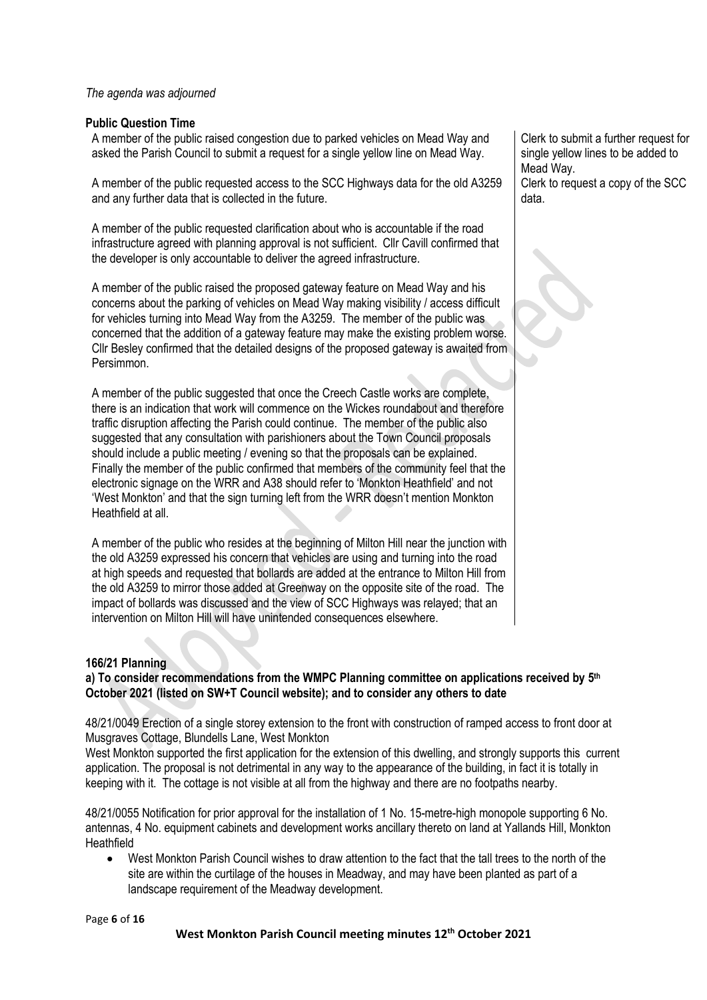#### *The agenda was adjourned*

#### **Public Question Time**

A member of the public raised congestion due to parked vehicles on Mead Way and asked the Parish Council to submit a request for a single yellow line on Mead Way.

A member of the public requested access to the SCC Highways data for the old A3259 and any further data that is collected in the future.

A member of the public requested clarification about who is accountable if the road infrastructure agreed with planning approval is not sufficient. Cllr Cavill confirmed that the developer is only accountable to deliver the agreed infrastructure.

A member of the public raised the proposed gateway feature on Mead Way and his concerns about the parking of vehicles on Mead Way making visibility / access difficult for vehicles turning into Mead Way from the A3259. The member of the public was concerned that the addition of a gateway feature may make the existing problem worse. Cllr Besley confirmed that the detailed designs of the proposed gateway is awaited from Persimmon.

A member of the public suggested that once the Creech Castle works are complete, there is an indication that work will commence on the Wickes roundabout and therefore traffic disruption affecting the Parish could continue. The member of the public also suggested that any consultation with parishioners about the Town Council proposals should include a public meeting / evening so that the proposals can be explained. Finally the member of the public confirmed that members of the community feel that the electronic signage on the WRR and A38 should refer to 'Monkton Heathfield' and not 'West Monkton' and that the sign turning left from the WRR doesn't mention Monkton Heathfield at all.

A member of the public who resides at the beginning of Milton Hill near the junction with the old A3259 expressed his concern that vehicles are using and turning into the road at high speeds and requested that bollards are added at the entrance to Milton Hill from the old A3259 to mirror those added at Greenway on the opposite site of the road. The impact of bollards was discussed and the view of SCC Highways was relayed; that an intervention on Milton Hill will have unintended consequences elsewhere.

#### **166/21 Planning**

**a) To consider recommendations from the WMPC Planning committee on applications received by 5 th October 2021 (listed on SW+T Council website); and to consider any others to date**

48/21/0049 Erection of a single storey extension to the front with construction of ramped access to front door at Musgraves Cottage, Blundells Lane, West Monkton

West Monkton supported the first application for the extension of this dwelling, and strongly supports this current application. The proposal is not detrimental in any way to the appearance of the building, in fact it is totally in keeping with it. The cottage is not visible at all from the highway and there are no footpaths nearby.

48/21/0055 Notification for prior approval for the installation of 1 No. 15-metre-high monopole supporting 6 No. antennas, 4 No. equipment cabinets and development works ancillary thereto on land at Yallands Hill, Monkton **Heathfield** 

• West Monkton Parish Council wishes to draw attention to the fact that the tall trees to the north of the site are within the curtilage of the houses in Meadway, and may have been planted as part of a landscape requirement of the Meadway development.

Clerk to submit a further request for single yellow lines to be added to Mead Way. Clerk to request a copy of the SCC data.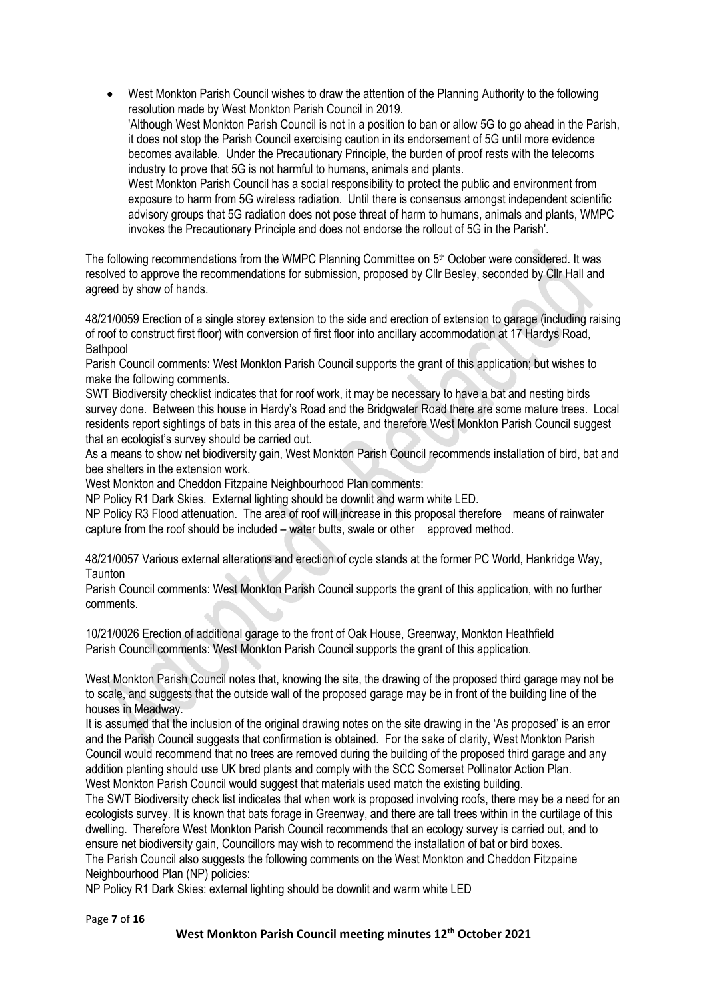• West Monkton Parish Council wishes to draw the attention of the Planning Authority to the following resolution made by West Monkton Parish Council in 2019. 'Although West Monkton Parish Council is not in a position to ban or allow 5G to go ahead in the Parish, it does not stop the Parish Council exercising caution in its endorsement of 5G until more evidence becomes available. Under the Precautionary Principle, the burden of proof rests with the telecoms industry to prove that 5G is not harmful to humans, animals and plants. West Monkton Parish Council has a social responsibility to protect the public and environment from exposure to harm from 5G wireless radiation. Until there is consensus amongst independent scientific advisory groups that 5G radiation does not pose threat of harm to humans, animals and plants, WMPC invokes the Precautionary Principle and does not endorse the rollout of 5G in the Parish'.

The following recommendations from the WMPC Planning Committee on 5<sup>th</sup> October were considered. It was resolved to approve the recommendations for submission, proposed by Cllr Besley, seconded by Cllr Hall and agreed by show of hands.

48/21/0059 Erection of a single storey extension to the side and erection of extension to garage (including raising of roof to construct first floor) with conversion of first floor into ancillary accommodation at 17 Hardys Road, Bathpool

Parish Council comments: West Monkton Parish Council supports the grant of this application; but wishes to make the following comments.

SWT Biodiversity checklist indicates that for roof work, it may be necessary to have a bat and nesting birds survey done. Between this house in Hardy's Road and the Bridgwater Road there are some mature trees. Local residents report sightings of bats in this area of the estate, and therefore West Monkton Parish Council suggest that an ecologist's survey should be carried out.

As a means to show net biodiversity gain, West Monkton Parish Council recommends installation of bird, bat and bee shelters in the extension work.

West Monkton and Cheddon Fitzpaine Neighbourhood Plan comments:

NP Policy R1 Dark Skies. External lighting should be downlit and warm white LED.

NP Policy R3 Flood attenuation. The area of roof will increase in this proposal therefore means of rainwater capture from the roof should be included – water butts, swale or other approved method.

48/21/0057 Various external alterations and erection of cycle stands at the former PC World, Hankridge Way, **Taunton** 

Parish Council comments: West Monkton Parish Council supports the grant of this application, with no further comments.

10/21/0026 Erection of additional garage to the front of Oak House, Greenway, Monkton Heathfield Parish Council comments: West Monkton Parish Council supports the grant of this application.

West Monkton Parish Council notes that, knowing the site, the drawing of the proposed third garage may not be to scale, and suggests that the outside wall of the proposed garage may be in front of the building line of the houses in Meadway.

It is assumed that the inclusion of the original drawing notes on the site drawing in the 'As proposed' is an error and the Parish Council suggests that confirmation is obtained. For the sake of clarity, West Monkton Parish Council would recommend that no trees are removed during the building of the proposed third garage and any addition planting should use UK bred plants and comply with the SCC Somerset Pollinator Action Plan. West Monkton Parish Council would suggest that materials used match the existing building.

The SWT Biodiversity check list indicates that when work is proposed involving roofs, there may be a need for an ecologists survey. It is known that bats forage in Greenway, and there are tall trees within in the curtilage of this dwelling. Therefore West Monkton Parish Council recommends that an ecology survey is carried out, and to ensure net biodiversity gain, Councillors may wish to recommend the installation of bat or bird boxes. The Parish Council also suggests the following comments on the West Monkton and Cheddon Fitzpaine Neighbourhood Plan (NP) policies:

NP Policy R1 Dark Skies: external lighting should be downlit and warm white LED

Page **7** of **16**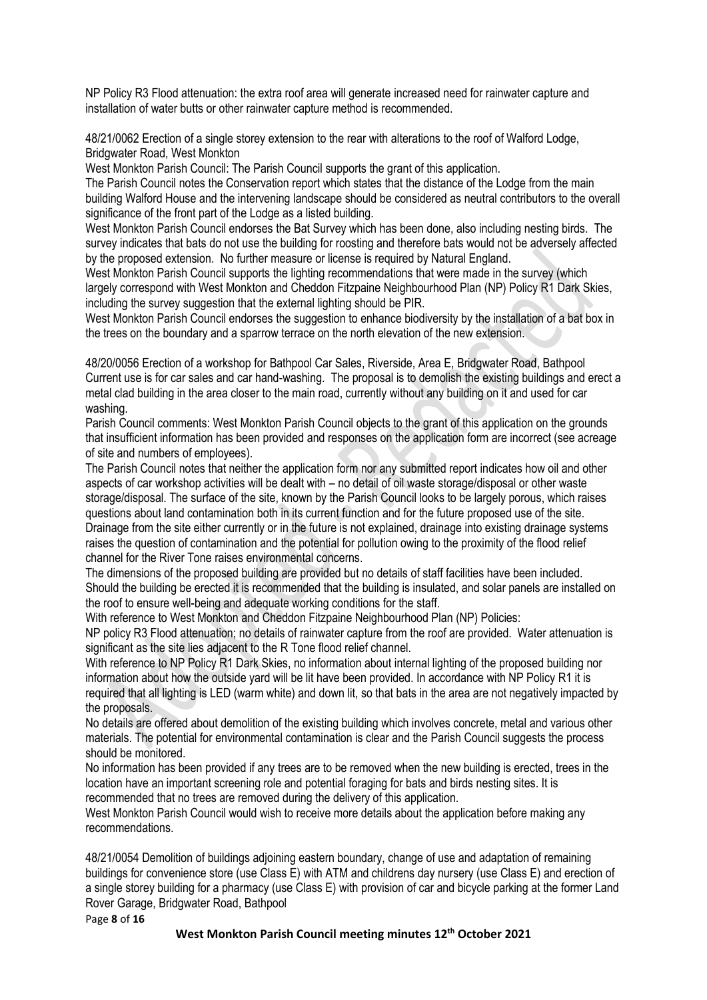NP Policy R3 Flood attenuation: the extra roof area will generate increased need for rainwater capture and installation of water butts or other rainwater capture method is recommended.

48/21/0062 Erection of a single storey extension to the rear with alterations to the roof of Walford Lodge, Bridgwater Road, West Monkton

West Monkton Parish Council: The Parish Council supports the grant of this application.

The Parish Council notes the Conservation report which states that the distance of the Lodge from the main building Walford House and the intervening landscape should be considered as neutral contributors to the overall significance of the front part of the Lodge as a listed building.

West Monkton Parish Council endorses the Bat Survey which has been done, also including nesting birds. The survey indicates that bats do not use the building for roosting and therefore bats would not be adversely affected by the proposed extension. No further measure or license is required by Natural England.

West Monkton Parish Council supports the lighting recommendations that were made in the survey (which largely correspond with West Monkton and Cheddon Fitzpaine Neighbourhood Plan (NP) Policy R1 Dark Skies, including the survey suggestion that the external lighting should be PIR.

West Monkton Parish Council endorses the suggestion to enhance biodiversity by the installation of a bat box in the trees on the boundary and a sparrow terrace on the north elevation of the new extension.

48/20/0056 Erection of a workshop for Bathpool Car Sales, Riverside, Area E, Bridgwater Road, Bathpool Current use is for car sales and car hand-washing. The proposal is to demolish the existing buildings and erect a metal clad building in the area closer to the main road, currently without any building on it and used for car washing.

Parish Council comments: West Monkton Parish Council objects to the grant of this application on the grounds that insufficient information has been provided and responses on the application form are incorrect (see acreage of site and numbers of employees).

The Parish Council notes that neither the application form nor any submitted report indicates how oil and other aspects of car workshop activities will be dealt with – no detail of oil waste storage/disposal or other waste storage/disposal. The surface of the site, known by the Parish Council looks to be largely porous, which raises questions about land contamination both in its current function and for the future proposed use of the site. Drainage from the site either currently or in the future is not explained, drainage into existing drainage systems raises the question of contamination and the potential for pollution owing to the proximity of the flood relief channel for the River Tone raises environmental concerns.

The dimensions of the proposed building are provided but no details of staff facilities have been included. Should the building be erected it is recommended that the building is insulated, and solar panels are installed on the roof to ensure well-being and adequate working conditions for the staff.

With reference to West Monkton and Cheddon Fitzpaine Neighbourhood Plan (NP) Policies:

NP policy R3 Flood attenuation; no details of rainwater capture from the roof are provided. Water attenuation is significant as the site lies adjacent to the R Tone flood relief channel.

With reference to NP Policy R1 Dark Skies, no information about internal lighting of the proposed building nor information about how the outside yard will be lit have been provided. In accordance with NP Policy R1 it is required that all lighting is LED (warm white) and down lit, so that bats in the area are not negatively impacted by the proposals.

No details are offered about demolition of the existing building which involves concrete, metal and various other materials. The potential for environmental contamination is clear and the Parish Council suggests the process should be monitored.

No information has been provided if any trees are to be removed when the new building is erected, trees in the location have an important screening role and potential foraging for bats and birds nesting sites. It is recommended that no trees are removed during the delivery of this application.

West Monkton Parish Council would wish to receive more details about the application before making any recommendations.

48/21/0054 Demolition of buildings adjoining eastern boundary, change of use and adaptation of remaining buildings for convenience store (use Class E) with ATM and childrens day nursery (use Class E) and erection of a single storey building for a pharmacy (use Class E) with provision of car and bicycle parking at the former Land Rover Garage, Bridgwater Road, Bathpool

Page **8** of **16**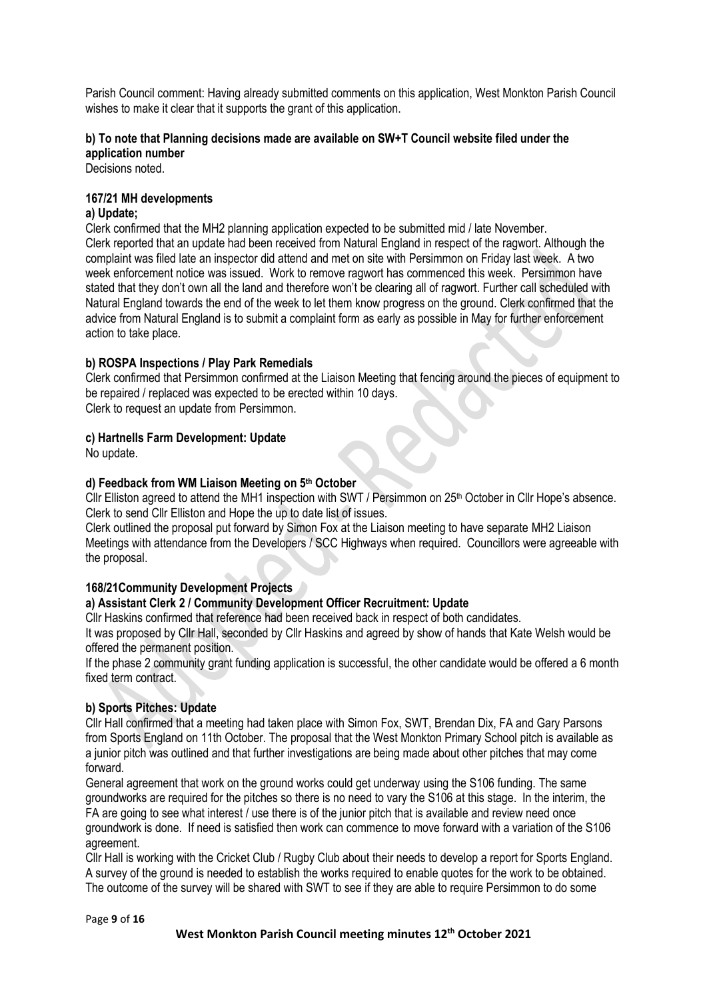Parish Council comment: Having already submitted comments on this application, West Monkton Parish Council wishes to make it clear that it supports the grant of this application.

## **b) To note that Planning decisions made are available on SW+T Council website filed under the application number**

Decisions noted.

## **167/21 MH developments**

## **a) Update;**

Clerk confirmed that the MH2 planning application expected to be submitted mid / late November. Clerk reported that an update had been received from Natural England in respect of the ragwort. Although the complaint was filed late an inspector did attend and met on site with Persimmon on Friday last week. A two week enforcement notice was issued. Work to remove ragwort has commenced this week. Persimmon have stated that they don't own all the land and therefore won't be clearing all of ragwort. Further call scheduled with Natural England towards the end of the week to let them know progress on the ground. Clerk confirmed that the advice from Natural England is to submit a complaint form as early as possible in May for further enforcement action to take place.

#### **b) ROSPA Inspections / Play Park Remedials**

Clerk confirmed that Persimmon confirmed at the Liaison Meeting that fencing around the pieces of equipment to be repaired / replaced was expected to be erected within 10 days.

Clerk to request an update from Persimmon.

#### **c) Hartnells Farm Development: Update**

No update.

#### **d) Feedback from WM Liaison Meeting on 5 th October**

Cllr Elliston agreed to attend the MH1 inspection with SWT / Persimmon on 25<sup>th</sup> October in Cllr Hope's absence. Clerk to send Cllr Elliston and Hope the up to date list of issues.

Clerk outlined the proposal put forward by Simon Fox at the Liaison meeting to have separate MH2 Liaison Meetings with attendance from the Developers / SCC Highways when required. Councillors were agreeable with the proposal.

#### **168/21Community Development Projects**

## **a) Assistant Clerk 2 / Community Development Officer Recruitment: Update**

Cllr Haskins confirmed that reference had been received back in respect of both candidates.

It was proposed by Cllr Hall, seconded by Cllr Haskins and agreed by show of hands that Kate Welsh would be offered the permanent position.

If the phase 2 community grant funding application is successful, the other candidate would be offered a 6 month fixed term contract.

## **b) Sports Pitches: Update**

Cllr Hall confirmed that a meeting had taken place with Simon Fox, SWT, Brendan Dix, FA and Gary Parsons from Sports England on 11th October. The proposal that the West Monkton Primary School pitch is available as a junior pitch was outlined and that further investigations are being made about other pitches that may come forward.

General agreement that work on the ground works could get underway using the S106 funding. The same groundworks are required for the pitches so there is no need to vary the S106 at this stage. In the interim, the FA are going to see what interest / use there is of the junior pitch that is available and review need once groundwork is done. If need is satisfied then work can commence to move forward with a variation of the S106 agreement.

Cllr Hall is working with the Cricket Club / Rugby Club about their needs to develop a report for Sports England. A survey of the ground is needed to establish the works required to enable quotes for the work to be obtained. The outcome of the survey will be shared with SWT to see if they are able to require Persimmon to do some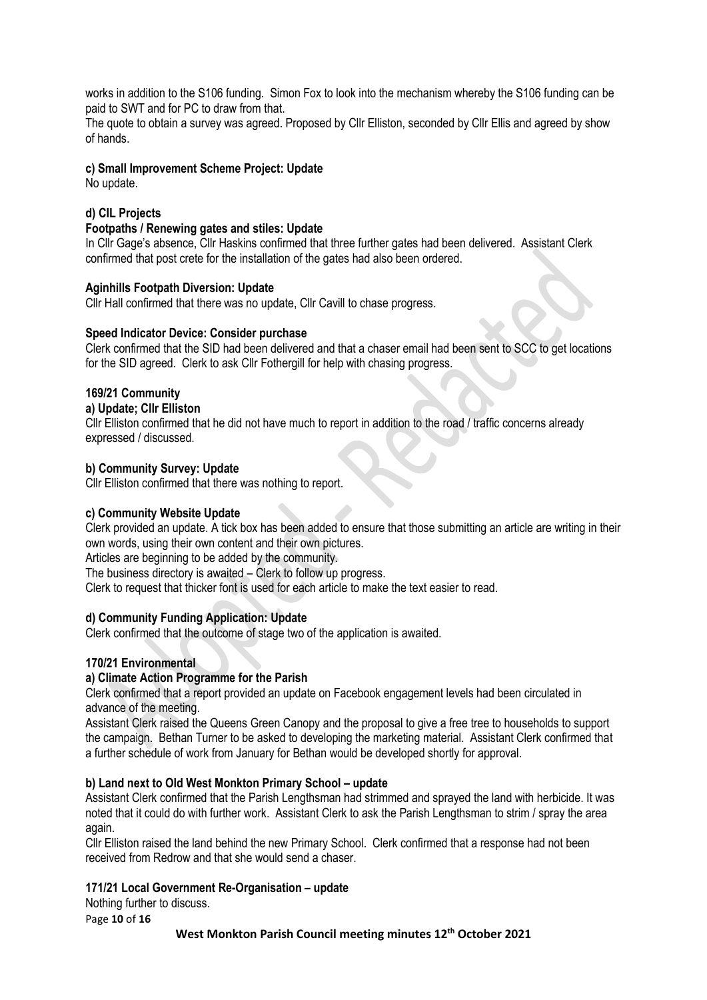works in addition to the S106 funding. Simon Fox to look into the mechanism whereby the S106 funding can be paid to SWT and for PC to draw from that.

The quote to obtain a survey was agreed. Proposed by Cllr Elliston, seconded by Cllr Ellis and agreed by show of hands.

#### **c) Small Improvement Scheme Project: Update**

No update.

## **d) CIL Projects**

#### **Footpaths / Renewing gates and stiles: Update**

In Cllr Gage's absence, Cllr Haskins confirmed that three further gates had been delivered. Assistant Clerk confirmed that post crete for the installation of the gates had also been ordered.

#### **Aginhills Footpath Diversion: Update**

Cllr Hall confirmed that there was no update, Cllr Cavill to chase progress.

#### **Speed Indicator Device: Consider purchase**

Clerk confirmed that the SID had been delivered and that a chaser email had been sent to SCC to get locations for the SID agreed. Clerk to ask Cllr Fothergill for help with chasing progress.

#### **169/21 Community**

## **a) Update; Cllr Elliston**

Cllr Elliston confirmed that he did not have much to report in addition to the road / traffic concerns already expressed / discussed.

#### **b) Community Survey: Update**

Cllr Elliston confirmed that there was nothing to report.

#### **c) Community Website Update**

Clerk provided an update. A tick box has been added to ensure that those submitting an article are writing in their own words, using their own content and their own pictures.

Articles are beginning to be added by the community.

The business directory is awaited – Clerk to follow up progress.

Clerk to request that thicker font is used for each article to make the text easier to read.

#### **d) Community Funding Application: Update**

Clerk confirmed that the outcome of stage two of the application is awaited.

#### **170/21 Environmental**

#### **a) Climate Action Programme for the Parish**

Clerk confirmed that a report provided an update on Facebook engagement levels had been circulated in advance of the meeting.

Assistant Clerk raised the Queens Green Canopy and the proposal to give a free tree to households to support the campaign. Bethan Turner to be asked to developing the marketing material. Assistant Clerk confirmed that a further schedule of work from January for Bethan would be developed shortly for approval.

#### **b) Land next to Old West Monkton Primary School – update**

Assistant Clerk confirmed that the Parish Lengthsman had strimmed and sprayed the land with herbicide. It was noted that it could do with further work. Assistant Clerk to ask the Parish Lengthsman to strim / spray the area again.

Cllr Elliston raised the land behind the new Primary School. Clerk confirmed that a response had not been received from Redrow and that she would send a chaser.

#### **171/21 Local Government Re-Organisation – update**

Nothing further to discuss.

Page **10** of **16**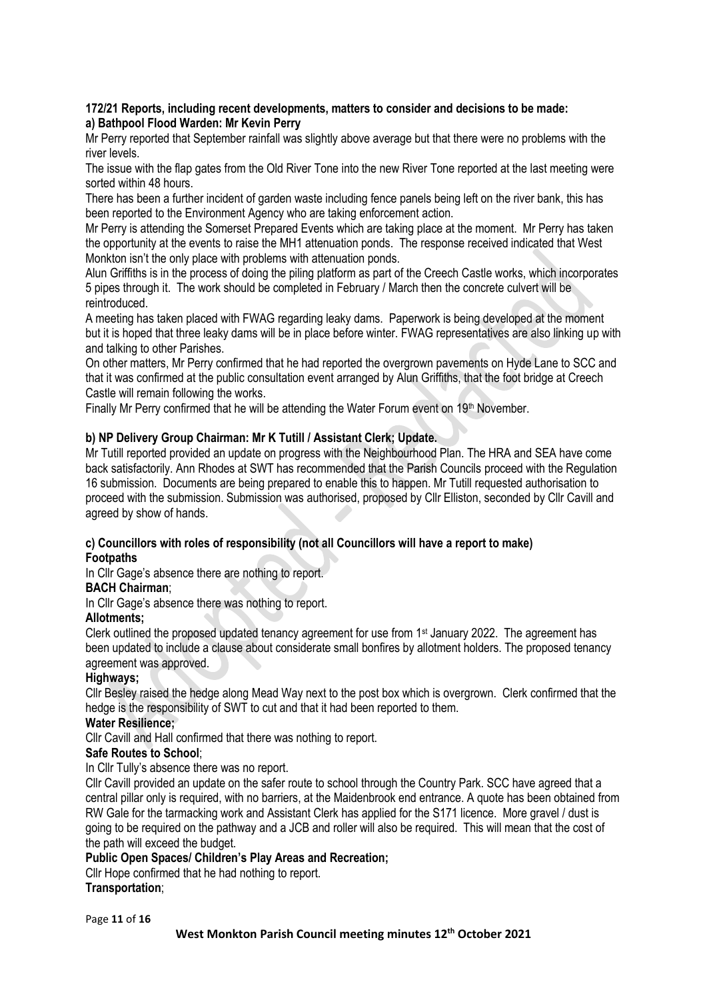#### **172/21 Reports, including recent developments, matters to consider and decisions to be made: a) Bathpool Flood Warden: Mr Kevin Perry**

Mr Perry reported that September rainfall was slightly above average but that there were no problems with the river levels.

The issue with the flap gates from the Old River Tone into the new River Tone reported at the last meeting were sorted within 48 hours.

There has been a further incident of garden waste including fence panels being left on the river bank, this has been reported to the Environment Agency who are taking enforcement action.

Mr Perry is attending the Somerset Prepared Events which are taking place at the moment. Mr Perry has taken the opportunity at the events to raise the MH1 attenuation ponds. The response received indicated that West Monkton isn't the only place with problems with attenuation ponds.

Alun Griffiths is in the process of doing the piling platform as part of the Creech Castle works, which incorporates 5 pipes through it. The work should be completed in February / March then the concrete culvert will be reintroduced.

A meeting has taken placed with FWAG regarding leaky dams. Paperwork is being developed at the moment but it is hoped that three leaky dams will be in place before winter. FWAG representatives are also linking up with and talking to other Parishes.

On other matters, Mr Perry confirmed that he had reported the overgrown pavements on Hyde Lane to SCC and that it was confirmed at the public consultation event arranged by Alun Griffiths, that the foot bridge at Creech Castle will remain following the works.

Finally Mr Perry confirmed that he will be attending the Water Forum event on 19th November.

## **b) NP Delivery Group Chairman: Mr K Tutill / Assistant Clerk; Update.**

Mr Tutill reported provided an update on progress with the Neighbourhood Plan. The HRA and SEA have come back satisfactorily. Ann Rhodes at SWT has recommended that the Parish Councils proceed with the Regulation 16 submission. Documents are being prepared to enable this to happen. Mr Tutill requested authorisation to proceed with the submission. Submission was authorised, proposed by Cllr Elliston, seconded by Cllr Cavill and agreed by show of hands.

## **c) Councillors with roles of responsibility (not all Councillors will have a report to make)**

#### **Footpaths**

In Cllr Gage's absence there are nothing to report.

#### **BACH Chairman**;

In Cllr Gage's absence there was nothing to report.

## **Allotments;**

Clerk outlined the proposed updated tenancy agreement for use from 1st January 2022. The agreement has been updated to include a clause about considerate small bonfires by allotment holders. The proposed tenancy agreement was approved.

## **Highways;**

Cllr Besley raised the hedge along Mead Way next to the post box which is overgrown. Clerk confirmed that the hedge is the responsibility of SWT to cut and that it had been reported to them.

#### **Water Resilience;**

Cllr Cavill and Hall confirmed that there was nothing to report.

#### **Safe Routes to School**;

In Cllr Tully's absence there was no report.

Cllr Cavill provided an update on the safer route to school through the Country Park. SCC have agreed that a central pillar only is required, with no barriers, at the Maidenbrook end entrance. A quote has been obtained from RW Gale for the tarmacking work and Assistant Clerk has applied for the S171 licence. More gravel / dust is going to be required on the pathway and a JCB and roller will also be required. This will mean that the cost of the path will exceed the budget.

## **Public Open Spaces/ Children's Play Areas and Recreation;**

Cllr Hope confirmed that he had nothing to report.

## **Transportation**;

Page **11** of **16**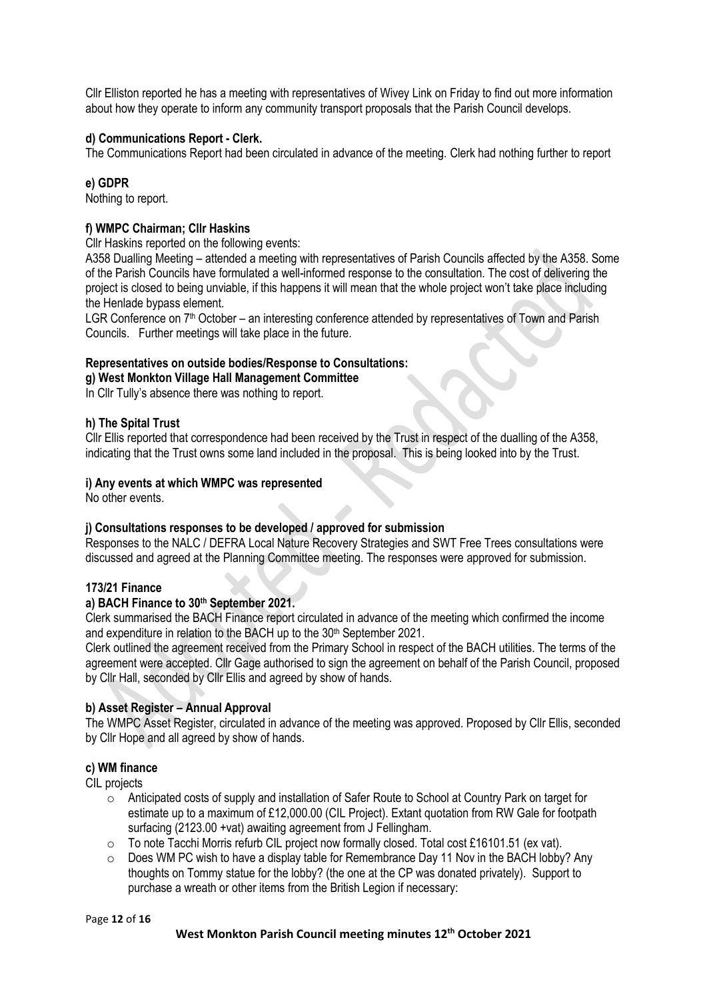Cllr Elliston reported he has a meeting with representatives of Wivey Link on Friday to find out more information about how they operate to inform any community transport proposals that the Parish Council develops.

## **d) Communications Report - Clerk.**

The Communications Report had been circulated in advance of the meeting. Clerk had nothing further to report

#### **e) GDPR**

Nothing to report.

#### **f) WMPC Chairman; Cllr Haskins**

Cllr Haskins reported on the following events:

A358 Dualling Meeting – attended a meeting with representatives of Parish Councils affected by the A358. Some of the Parish Councils have formulated a well-informed response to the consultation. The cost of delivering the project is closed to being unviable, if this happens it will mean that the whole project won't take place including the Henlade bypass element.

LGR Conference on 7<sup>th</sup> October – an interesting conference attended by representatives of Town and Parish Councils. Further meetings will take place in the future.

#### **Representatives on outside bodies/Response to Consultations:**

**g) West Monkton Village Hall Management Committee**

In Cllr Tully's absence there was nothing to report.

#### **h) The Spital Trust**

Cllr Ellis reported that correspondence had been received by the Trust in respect of the dualling of the A358, indicating that the Trust owns some land included in the proposal. This is being looked into by the Trust.

#### **i) Any events at which WMPC was represented**

No other events.

#### **j) Consultations responses to be developed / approved for submission**

Responses to the NALC / DEFRA Local Nature Recovery Strategies and SWT Free Trees consultations were discussed and agreed at the Planning Committee meeting. The responses were approved for submission.

#### **173/21 Finance**

#### **a) BACH Finance to 30 th September 2021.**

Clerk summarised the BACH Finance report circulated in advance of the meeting which confirmed the income and expenditure in relation to the BACH up to the 30<sup>th</sup> September 2021.

Clerk outlined the agreement received from the Primary School in respect of the BACH utilities. The terms of the agreement were accepted. Cllr Gage authorised to sign the agreement on behalf of the Parish Council, proposed by Cllr Hall, seconded by Cllr Ellis and agreed by show of hands.

#### **b) Asset Register – Annual Approval**

The WMPC Asset Register, circulated in advance of the meeting was approved. Proposed by Cllr Ellis, seconded by Cllr Hope and all agreed by show of hands.

#### **c) WM finance**

CIL projects

- o Anticipated costs of supply and installation of Safer Route to School at Country Park on target for estimate up to a maximum of £12,000.00 (CIL Project). Extant quotation from RW Gale for footpath surfacing (2123.00 +vat) awaiting agreement from J Fellingham.
- $\circ$  To note Tacchi Morris refurb CIL project now formally closed. Total cost £16101.51 (ex vat).
- o Does WM PC wish to have a display table for Remembrance Day 11 Nov in the BACH lobby? Any thoughts on Tommy statue for the lobby? (the one at the CP was donated privately). Support to purchase a wreath or other items from the British Legion if necessary:

#### Page **12** of **16**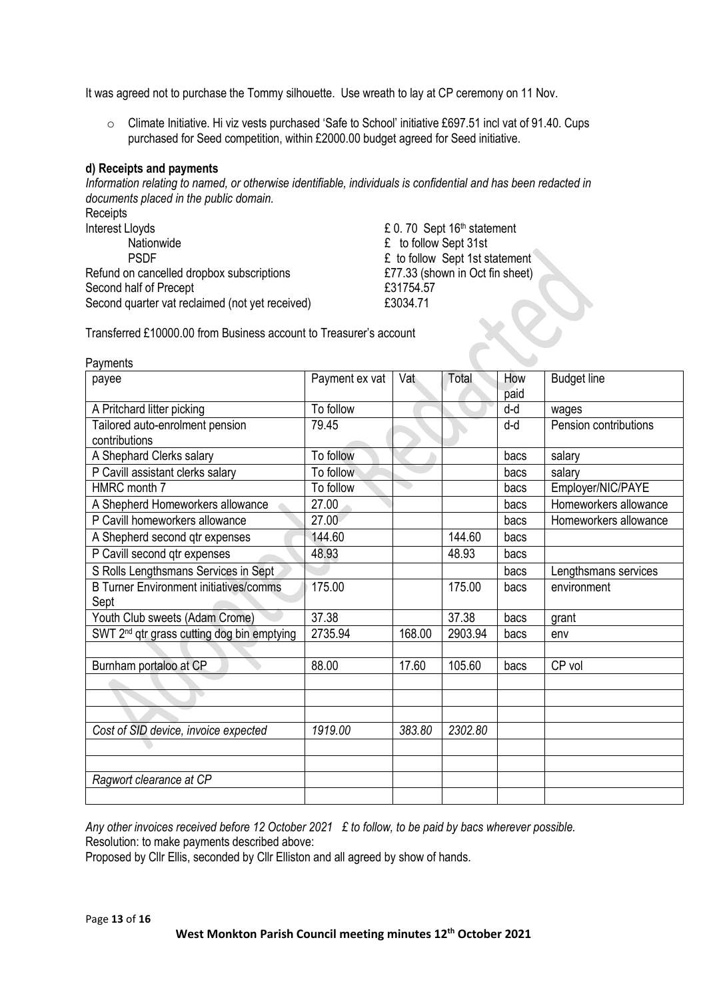It was agreed not to purchase the Tommy silhouette. Use wreath to lay at CP ceremony on 11 Nov.

o Climate Initiative. Hi viz vests purchased 'Safe to School' initiative £697.51 incl vat of 91.40. Cups purchased for Seed competition, within £2000.00 budget agreed for Seed initiative.

#### **d) Receipts and payments**

*Information relating to named, or otherwise identifiable, individuals is confidential and has been redacted in documents placed in the public domain.*

Receipts<br>Interest Lloyds Lloyds<br>
Reflexive Lloyds<br>
Reflexive Left Constants Left Constants Left Constants Left Constants Left Constants Left Constants Left Const<br>
Left Constants Left Constants Left Constants Left Constants Left Constants Left Cons PSDF **Example 1st Statement E** to follow Sept 1st statement Refund on cancelled dropbox subscriptions E77.33 (shown in Oct fin sheet) Second half of Precept **E31754.57** Second quarter vat reclaimed (not yet received) E3034.71

 $£$  to follow Sept 31st

Transferred £10000.00 from Business account to Treasurer's account

| Payments                                               |                |        |         |             |                       |
|--------------------------------------------------------|----------------|--------|---------|-------------|-----------------------|
| payee                                                  | Payment ex vat | Vat    | Total   | How<br>paid | <b>Budget line</b>    |
| A Pritchard litter picking                             | To follow      |        |         | d-d         | wages                 |
| Tailored auto-enrolment pension<br>contributions       | 79.45          |        |         | d-d         | Pension contributions |
| A Shephard Clerks salary                               | To follow      |        |         | bacs        | salary                |
| P Cavill assistant clerks salary                       | To follow      |        |         | bacs        | salary                |
| HMRC month 7                                           | To follow      |        |         | bacs        | Employer/NIC/PAYE     |
| A Shepherd Homeworkers allowance                       | 27.00          |        |         | bacs        | Homeworkers allowance |
| P Cavill homeworkers allowance                         | 27.00          |        |         | bacs        | Homeworkers allowance |
| A Shepherd second qtr expenses                         | 144.60         |        | 144.60  | bacs        |                       |
| P Cavill second qtr expenses                           | 48.93          |        | 48.93   | bacs        |                       |
| S Rolls Lengthsmans Services in Sept                   |                |        |         | bacs        | Lengthsmans services  |
| <b>B Turner Environment initiatives/comms</b><br>Sept  | 175.00         |        | 175.00  | bacs        | environment           |
| Youth Club sweets (Adam Crome)                         | 37.38          |        | 37.38   | bacs        | grant                 |
| SWT 2 <sup>nd</sup> qtr grass cutting dog bin emptying | 2735.94        | 168.00 | 2903.94 | bacs        | env                   |
|                                                        |                |        |         |             |                       |
| Burnham portaloo at CP                                 | 88.00          | 17.60  | 105.60  | bacs        | CP vol                |
|                                                        |                |        |         |             |                       |
| $\overline{\phantom{0}}$                               |                |        |         |             |                       |
|                                                        |                |        |         |             |                       |
| Cost of SID device, invoice expected                   | 1919.00        | 383.80 | 2302.80 |             |                       |
|                                                        |                |        |         |             |                       |
|                                                        |                |        |         |             |                       |
| Ragwort clearance at CP                                |                |        |         |             |                       |
|                                                        |                |        |         |             |                       |

*Any other invoices received before 12 October 2021 £ to follow, to be paid by bacs wherever possible.* Resolution: to make payments described above:

Proposed by Cllr Ellis, seconded by Cllr Elliston and all agreed by show of hands.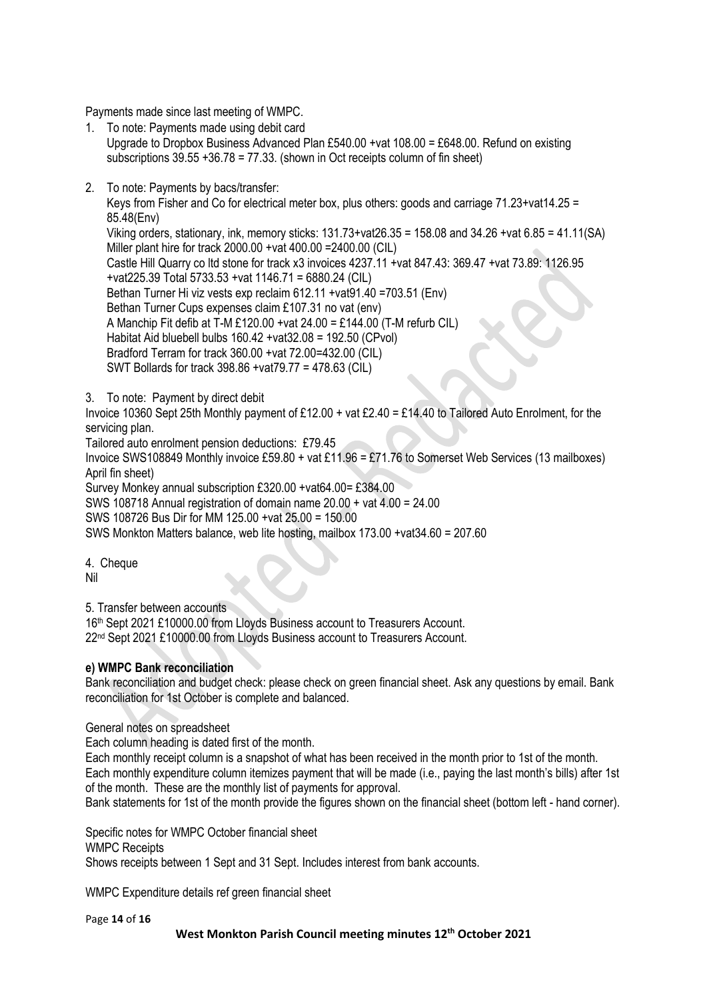Payments made since last meeting of WMPC.

1. To note: Payments made using debit card

Upgrade to Dropbox Business Advanced Plan £540.00 +vat 108.00 = £648.00. Refund on existing subscriptions 39.55 +36.78 = 77.33. (shown in Oct receipts column of fin sheet)

2. To note: Payments by bacs/transfer:

Keys from Fisher and Co for electrical meter box, plus others: goods and carriage 71.23+vat14.25 = 85.48(Env)

Viking orders, stationary, ink, memory sticks: 131.73+vat26.35 = 158.08 and 34.26 +vat 6.85 = 41.11(SA) Miller plant hire for track 2000.00 +vat 400.00 =2400.00 (CIL)

Castle Hill Quarry co ltd stone for track x3 invoices 4237.11 +vat 847.43: 369.47 +vat 73.89: 1126.95 +vat225.39 Total 5733.53 +vat 1146.71 = 6880.24 (CIL)

Bethan Turner Hi viz vests exp reclaim 612.11 + vat91.40 = 703.51 (Env)

Bethan Turner Cups expenses claim £107.31 no vat (env)

A Manchip Fit defib at T-M £120.00 +vat  $24.00 = \text{\textsterling}144.00$  (T-M refurb CIL)

Habitat Aid bluebell bulbs 160.42 +vat32.08 = 192.50 (CPvol)

Bradford Terram for track 360.00 +vat 72.00=432.00 (CIL)

SWT Bollards for track 398.86 +vat79.77 = 478.63 (CIL)

3. To note: Payment by direct debit

Invoice 10360 Sept 25th Monthly payment of £12.00 + vat £2.40 = £14.40 to Tailored Auto Enrolment, for the servicing plan.

Tailored auto enrolment pension deductions: £79.45

Invoice SWS108849 Monthly invoice £59.80 + vat £11.96 = £71.76 to Somerset Web Services (13 mailboxes) April fin sheet)

Survey Monkey annual subscription £320.00 +vat64.00= £384.00

SWS 108718 Annual registration of domain name 20.00 + vat 4.00 = 24.00

SWS 108726 Bus Dir for MM 125.00 +vat 25.00 = 150.00

SWS Monkton Matters balance, web lite hosting, mailbox 173.00 +vat34.60 = 207.60

4. Cheque Nil

5. Transfer between accounts

16<sup>th</sup> Sept 2021 £10000.00 from Lloyds Business account to Treasurers Account. 22<sup>nd</sup> Sept 2021 £10000.00 from Lloyds Business account to Treasurers Account.

## **e) WMPC Bank reconciliation**

Bank reconciliation and budget check: please check on green financial sheet. Ask any questions by email. Bank reconciliation for 1st October is complete and balanced.

General notes on spreadsheet

Each column heading is dated first of the month.

Each monthly receipt column is a snapshot of what has been received in the month prior to 1st of the month. Each monthly expenditure column itemizes payment that will be made (i.e., paying the last month's bills) after 1st of the month. These are the monthly list of payments for approval.

Bank statements for 1st of the month provide the figures shown on the financial sheet (bottom left - hand corner).

Specific notes for WMPC October financial sheet

WMPC Receipts

Shows receipts between 1 Sept and 31 Sept. Includes interest from bank accounts.

WMPC Expenditure details ref green financial sheet

Page **14** of **16**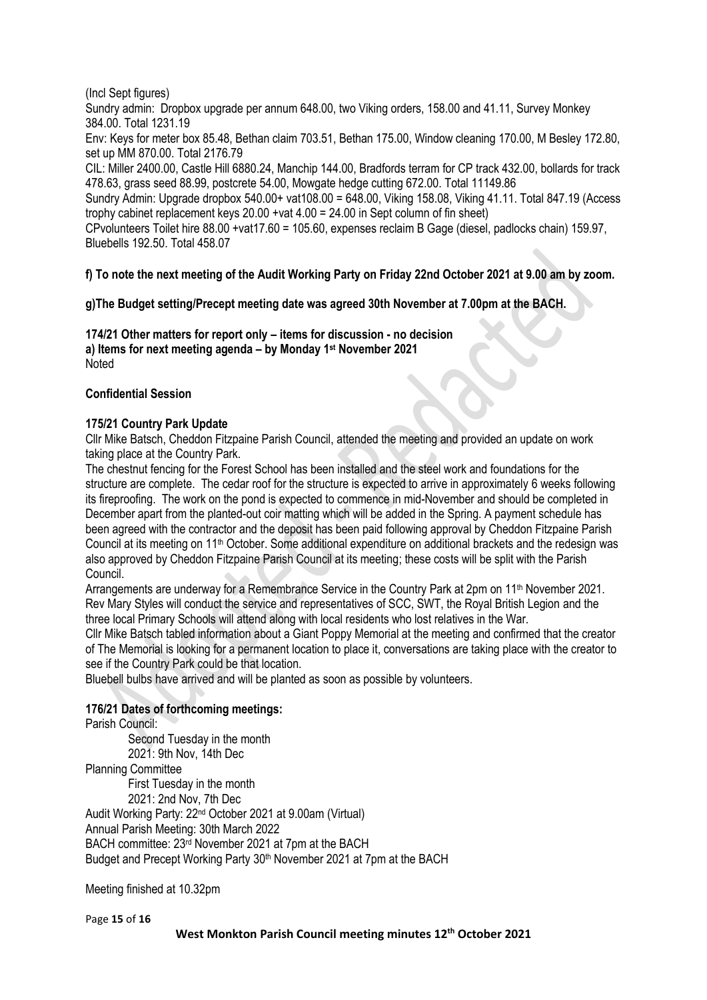## (Incl Sept figures)

Sundry admin: Dropbox upgrade per annum 648.00, two Viking orders, 158.00 and 41.11, Survey Monkey 384.00. Total 1231.19

Env: Keys for meter box 85.48, Bethan claim 703.51, Bethan 175.00, Window cleaning 170.00, M Besley 172.80, set up MM 870.00. Total 2176.79

CIL: Miller 2400.00, Castle Hill 6880.24, Manchip 144.00, Bradfords terram for CP track 432.00, bollards for track 478.63, grass seed 88.99, postcrete 54.00, Mowgate hedge cutting 672.00. Total 11149.86

Sundry Admin: Upgrade dropbox 540.00+ vat108.00 = 648.00, Viking 158.08, Viking 41.11. Total 847.19 (Access trophy cabinet replacement keys 20.00 +vat 4.00 = 24.00 in Sept column of fin sheet)

CPvolunteers Toilet hire 88.00 +vat17.60 = 105.60, expenses reclaim B Gage (diesel, padlocks chain) 159.97, Bluebells 192.50. Total 458.07

## **f) To note the next meeting of the Audit Working Party on Friday 22nd October 2021 at 9.00 am by zoom.**

**g)The Budget setting/Precept meeting date was agreed 30th November at 7.00pm at the BACH.**

## **174/21 Other matters for report only – items for discussion - no decision**

**a) Items for next meeting agenda – by Monday 1 st November 2021 Noted** 

## **Confidential Session**

## **175/21 Country Park Update**

Cllr Mike Batsch, Cheddon Fitzpaine Parish Council, attended the meeting and provided an update on work taking place at the Country Park.

The chestnut fencing for the Forest School has been installed and the steel work and foundations for the structure are complete. The cedar roof for the structure is expected to arrive in approximately 6 weeks following its fireproofing. The work on the pond is expected to commence in mid-November and should be completed in December apart from the planted-out coir matting which will be added in the Spring. A payment schedule has been agreed with the contractor and the deposit has been paid following approval by Cheddon Fitzpaine Parish Council at its meeting on 11th October. Some additional expenditure on additional brackets and the redesign was also approved by Cheddon Fitzpaine Parish Council at its meeting; these costs will be split with the Parish Council.

Arrangements are underway for a Remembrance Service in the Country Park at 2pm on 11<sup>th</sup> November 2021. Rev Mary Styles will conduct the service and representatives of SCC, SWT, the Royal British Legion and the three local Primary Schools will attend along with local residents who lost relatives in the War.

Cllr Mike Batsch tabled information about a Giant Poppy Memorial at the meeting and confirmed that the creator of The Memorial is looking for a permanent location to place it, conversations are taking place with the creator to see if the Country Park could be that location.

Bluebell bulbs have arrived and will be planted as soon as possible by volunteers.

## **176/21 Dates of forthcoming meetings:**

Parish Council:

Second Tuesday in the month 2021: 9th Nov, 14th Dec Planning Committee First Tuesday in the month 2021: 2nd Nov, 7th Dec Audit Working Party: 22nd October 2021 at 9.00am (Virtual) Annual Parish Meeting: 30th March 2022 BACH committee: 23rd November 2021 at 7pm at the BACH Budget and Precept Working Party 30<sup>th</sup> November 2021 at 7pm at the BACH

Meeting finished at 10.32pm